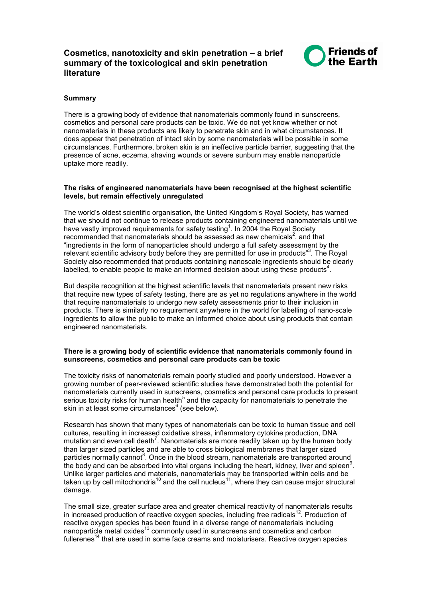# Cosmetics, nanotoxicity and skin penetration – a brief summary of the toxicological and skin penetration **literature**



### Summary

There is a growing body of evidence that nanomaterials commonly found in sunscreens, cosmetics and personal care products can be toxic. We do not yet know whether or not nanomaterials in these products are likely to penetrate skin and in what circumstances. It does appear that penetration of intact skin by some nanomaterials will be possible in some circumstances. Furthermore, broken skin is an ineffective particle barrier, suggesting that the presence of acne, eczema, shaving wounds or severe sunburn may enable nanoparticle uptake more readily.

#### The risks of engineered nanomaterials have been recognised at the highest scientific levels, but remain effectively unregulated

The world's oldest scientific organisation, the United Kingdom's Royal Society, has warned that we should not continue to release products containing engineered nanomaterials until we have vastly improved requirements for safety testing<sup>1</sup>. In 2004 the Royal Society recommended that nanomaterials should be assessed as new chemicals<sup>2</sup>, and that "ingredients in the form of nanoparticles should undergo a full safety assessment by the relevant scientific advisory body before they are permitted for use in products"<sup>3</sup>. The Royal Society also recommended that products containing nanoscale ingredients should be clearly labelled, to enable people to make an informed decision about using these products<sup>4</sup>.

But despite recognition at the highest scientific levels that nanomaterials present new risks that require new types of safety testing, there are as yet no regulations anywhere in the world that require nanomaterials to undergo new safety assessments prior to their inclusion in products. There is similarly no requirement anywhere in the world for labelling of nano-scale ingredients to allow the public to make an informed choice about using products that contain engineered nanomaterials.

### There is a growing body of scientific evidence that nanomaterials commonly found in sunscreens, cosmetics and personal care products can be toxic

The toxicity risks of nanomaterials remain poorly studied and poorly understood. However a growing number of peer-reviewed scientific studies have demonstrated both the potential for nanomaterials currently used in sunscreens, cosmetics and personal care products to present serious toxicity risks for human health<sup>5</sup> and the capacity for nanomaterials to penetrate the skin in at least some circumstances<sup>6</sup> (see below).

Research has shown that many types of nanomaterials can be toxic to human tissue and cell cultures, resulting in increased oxidative stress, inflammatory cytokine production, DNA mutation and even cell death<sup>7</sup>. Nanomaterials are more readily taken up by the human body than larger sized particles and are able to cross biological membranes that larger sized particles normally cannot<sup>8</sup>. Once in the blood stream, nanomaterials are transported around the body and can be absorbed into vital organs including the heart, kidney, liver and spleen<sup>9</sup>. Unlike larger particles and materials, nanomaterials may be transported within cells and be taken up by cell mitochondria<sup>10</sup> and the cell nucleus<sup>11</sup>, where they can cause major structural damage.

The small size, greater surface area and greater chemical reactivity of nanomaterials results in increased production of reactive oxygen species, including free radicals<sup>12</sup>. Production of reactive oxygen species has been found in a diverse range of nanomaterials including nanoparticle metal oxides<sup>13</sup> commonly used in sunscreens and cosmetics and carbon fullerenes<sup>14</sup> that are used in some face creams and moisturisers. Reactive oxygen species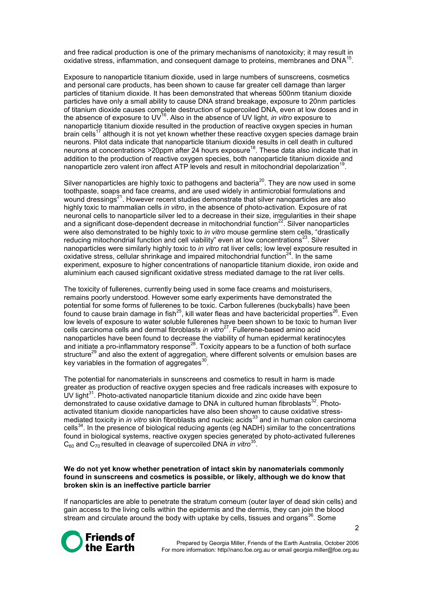and free radical production is one of the primary mechanisms of nanotoxicity; it may result in oxidative stress, inflammation, and consequent damage to proteins, membranes and DNA<sup>15</sup>.

Exposure to nanoparticle titanium dioxide, used in large numbers of sunscreens, cosmetics and personal care products, has been shown to cause far greater cell damage than larger particles of titanium dioxide. It has been demonstrated that whereas 500nm titanium dioxide particles have only a small ability to cause DNA strand breakage, exposure to 20nm particles of titanium dioxide causes complete destruction of supercoiled DNA, even at low doses and in the absence of exposure to UV<sup>16</sup>. Also in the absence of UV light, *in vitro* exposure to nanoparticle titanium dioxide resulted in the production of reactive oxygen species in human brain cells<sup>17</sup> although it is not yet known whether these reactive oxygen species damage brain neurons. Pilot data indicate that nanoparticle titanium dioxide results in cell death in cultured neurons at concentrations >20ppm after 24 hours exposure<sup>18</sup>. These data also indicate that in addition to the production of reactive oxygen species, both nanoparticle titanium dioxide and nanoparticle zero valent iron affect ATP levels and result in mitochondrial depolarization<sup>19</sup>.

Silver nanoparticles are highly toxic to pathogens and bacteria<sup>20</sup>. They are now used in some toothpaste, soaps and face creams, and are used widely in antimicrobial formulations and wound dressings<sup>21</sup>. However recent studies demonstrate that silver nanoparticles are also highly toxic to mammalian cells *in vitro*, in the absence of photo-activation. Exposure of rat neuronal cells to nanoparticle silver led to a decrease in their size, irregularities in their shape and a significant dose-dependent decrease in mitochondrial function<sup>22</sup>. Silver nanoparticles were also demonstrated to be highly toxic to *in vitro* mouse germline stem cells, "drastically reducing mitochondrial function and cell viability" even at low concentrations $^{23}$ . Silver nanoparticles were similarly highly toxic to in vitro rat liver cells; low level exposure resulted in oxidative stress, cellular shrinkage and impaired mitochondrial function $^{24}$ . In the same experiment, exposure to higher concentrations of nanoparticle titanium dioxide, iron oxide and aluminium each caused significant oxidative stress mediated damage to the rat liver cells.

The toxicity of fullerenes, currently being used in some face creams and moisturisers, remains poorly understood. However some early experiments have demonstrated the potential for some forms of fullerenes to be toxic. Carbon fullerenes (buckyballs) have been found to cause brain damage in fish<sup>25</sup>, kill water fleas and have bactericidal properties<sup>26</sup>. Even low levels of exposure to water soluble fullerenes have been shown to be toxic to human liver cells carcinoma cells and dermal fibroblasts in vitro $^{27}$ . Fullerene-based amino acid nanoparticles have been found to decrease the viability of human epidermal keratinocytes and initiate a pro-inflammatory response<sup>28</sup>. Toxicity appears to be a function of both surface structure<sup>29</sup> and also the extent of aggregation, where different solvents or emulsion bases are key variables in the formation of aggregates $3$ .

The potential for nanomaterials in sunscreens and cosmetics to result in harm is made greater as production of reactive oxygen species and free radicals increases with exposure to UV light $31$ . Photo-activated nanoparticle titanium dioxide and zinc oxide have been demonstrated to cause oxidative damage to DNA in cultured human fibroblasts $32$ . Photoactivated titanium dioxide nanoparticles have also been shown to cause oxidative stressmediated toxicity in *in vitro* skin fibroblasts and nucleic acids<sup>33</sup> and in human colon carcinoma cells<sup>34</sup>. In the presence of biological reducing agents (eq NADH) similar to the concentrations found in biological systems, reactive oxygen species generated by photo-activated fullerenes  $C_{60}$  and  $C_{70}$  resulted in cleavage of supercoiled DNA in vitro<sup>35</sup>.

#### We do not yet know whether penetration of intact skin by nanomaterials commonly found in sunscreens and cosmetics is possible, or likely, although we do know that broken skin is an ineffective particle barrier

If nanoparticles are able to penetrate the stratum corneum (outer layer of dead skin cells) and gain access to the living cells within the epidermis and the dermis, they can join the blood stream and circulate around the body with uptake by cells, tissues and organs<sup>36</sup>. Some

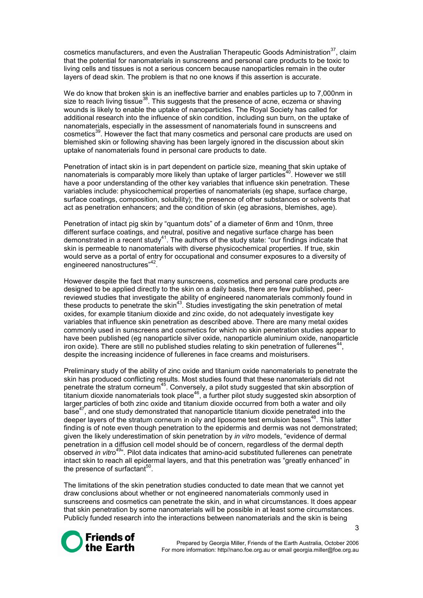cosmetics manufacturers, and even the Australian Therapeutic Goods Administration<sup>37</sup>, claim that the potential for nanomaterials in sunscreens and personal care products to be toxic to living cells and tissues is not a serious concern because nanoparticles remain in the outer layers of dead skin. The problem is that no one knows if this assertion is accurate.

We do know that broken skin is an ineffective barrier and enables particles up to 7,000nm in size to reach living tissue<sup>38</sup>. This suggests that the presence of acne, eczema or shaving wounds is likely to enable the uptake of nanoparticles. The Royal Society has called for additional research into the influence of skin condition, including sun burn, on the uptake of nanomaterials, especially in the assessment of nanomaterials found in sunscreens and cosmetics<sup>39</sup>. However the fact that many cosmetics and personal care products are used on blemished skin or following shaving has been largely ignored in the discussion about skin uptake of nanomaterials found in personal care products to date.

Penetration of intact skin is in part dependent on particle size, meaning that skin uptake of nanomaterials is comparably more likely than uptake of larger particles<sup>40</sup>. However we still have a poor understanding of the other key variables that influence skin penetration. These variables include: physicochemical properties of nanomaterials (eg shape, surface charge, surface coatings, composition, solubility); the presence of other substances or solvents that act as penetration enhancers; and the condition of skin (eg abrasions, blemishes, age).

Penetration of intact pig skin by "quantum dots" of a diameter of 6nm and 10nm, three different surface coatings, and neutral, positive and negative surface charge has been demonstrated in a recent study<sup>41</sup>. The authors of the study state: "our findings indicate that skin is permeable to nanomaterials with diverse physicochemical properties. If true, skin would serve as a portal of entry for occupational and consumer exposures to a diversity of engineered nanostructures"<sup>42</sup>.

However despite the fact that many sunscreens, cosmetics and personal care products are designed to be applied directly to the skin on a daily basis, there are few published, peerreviewed studies that investigate the ability of engineered nanomaterials commonly found in these products to penetrate the skin $43$ . Studies investigating the skin penetration of metal oxides, for example titanium dioxide and zinc oxide, do not adequately investigate key variables that influence skin penetration as described above. There are many metal oxides commonly used in sunscreens and cosmetics for which no skin penetration studies appear to have been published (eg nanoparticle silver oxide, nanoparticle aluminium oxide, nanoparticle iron oxide). There are still no published studies relating to skin penetration of fullerenes<sup>44</sup>, despite the increasing incidence of fullerenes in face creams and moisturisers.

Preliminary study of the ability of zinc oxide and titanium oxide nanomaterials to penetrate the skin has produced conflicting results. Most studies found that these nanomaterials did not penetrate the stratum corneum<sup>45</sup>. Conversely, a pilot study suggested that skin absorption of titanium dioxide nanomaterials took place<sup>46</sup>, a further pilot study suggested skin absorption of larger particles of both zinc oxide and titanium dioxide occurred from both a water and oily base $47$ , and one study demonstrated that nanoparticle titanium dioxide penetrated into the deeper layers of the stratum corneum in oily and liposome test emulsion bases<sup>48</sup>. This latter finding is of note even though penetration to the epidermis and dermis was not demonstrated; given the likely underestimation of skin penetration by in vitro models, "evidence of dermal penetration in a diffusion cell model should be of concern, regardless of the dermal depth observed in vitro<sup>49</sup>. Pilot data indicates that amino-acid substituted fullerenes can penetrate intact skin to reach all epidermal layers, and that this penetration was "greatly enhanced" in the presence of surfactant $^{50}$ .

The limitations of the skin penetration studies conducted to date mean that we cannot yet draw conclusions about whether or not engineered nanomaterials commonly used in sunscreens and cosmetics can penetrate the skin, and in what circumstances. It does appear that skin penetration by some nanomaterials will be possible in at least some circumstances. Publicly funded research into the interactions between nanomaterials and the skin is being

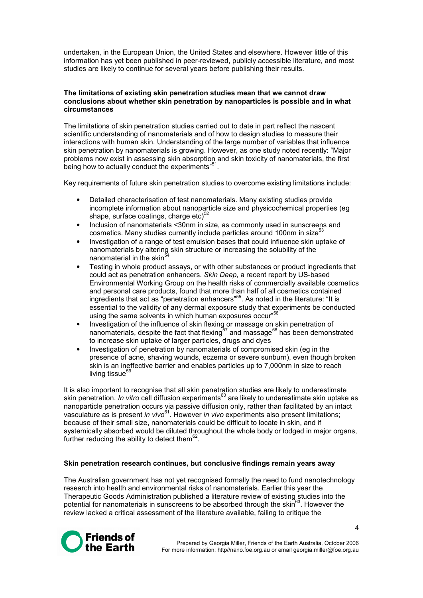undertaken, in the European Union, the United States and elsewhere. However little of this information has yet been published in peer-reviewed, publicly accessible literature, and most studies are likely to continue for several years before publishing their results.

#### The limitations of existing skin penetration studies mean that we cannot draw conclusions about whether skin penetration by nanoparticles is possible and in what circumstances

The limitations of skin penetration studies carried out to date in part reflect the nascent scientific understanding of nanomaterials and of how to design studies to measure their interactions with human skin. Understanding of the large number of variables that influence skin penetration by nanomaterials is growing. However, as one study noted recently: "Major problems now exist in assessing skin absorption and skin toxicity of nanomaterials, the first being how to actually conduct the experiments" $51$ .

Key requirements of future skin penetration studies to overcome existing limitations include:

- Detailed characterisation of test nanomaterials. Many existing studies provide incomplete information about nanoparticle size and physicochemical properties (eg shape, surface coatings, charge  $etc)^{52}$
- Inclusion of nanomaterials <30nm in size, as commonly used in sunscreens and cosmetics. Many studies currently include particles around 100nm in size<sup>53</sup>  $\overline{a}$
- Investigation of a range of test emulsion bases that could influence skin uptake of nanomaterials by altering skin structure or increasing the solubility of the nanomaterial in the skin<sup>5</sup>
- Testing in whole product assays, or with other substances or product ingredients that could act as penetration enhancers. Skin Deep, a recent report by US-based Environmental Working Group on the health risks of commercially available cosmetics and personal care products, found that more than half of all cosmetics contained ingredients that act as "penetration enhancers"<sup>55</sup>. As noted in the literature: "It is essential to the validity of any dermal exposure study that experiments be conducted using the same solvents in which human exposures occur"<sup>56</sup>
- Investigation of the influence of skin flexing or massage on skin penetration of nanomaterials, despite the fact that flexing $57$  and massage $58$  has been demonstrated to increase skin uptake of larger particles, drugs and dyes
- Investigation of penetration by nanomaterials of compromised skin (eg in the presence of acne, shaving wounds, eczema or severe sunburn), even though broken skin is an ineffective barrier and enables particles up to 7,000nm in size to reach living tissue<sup>59</sup>

It is also important to recognise that all skin penetration studies are likely to underestimate skin penetration. In vitro cell diffusion experiments<sup>60</sup> are likely to underestimate skin uptake as nanoparticle penetration occurs via passive diffusion only, rather than facilitated by an intact vasculature as is present *in vivo*<sup>61</sup>. However *in vivo* experiments also present limitations; because of their small size, nanomaterials could be difficult to locate in skin, and if systemically absorbed would be diluted throughout the whole body or lodged in major organs, further reducing the ability to detect them $^{62}$ .

### Skin penetration research continues, but conclusive findings remain years away

The Australian government has not yet recognised formally the need to fund nanotechnology research into health and environmental risks of nanomaterials. Earlier this year the Therapeutic Goods Administration published a literature review of existing studies into the potential for nanomaterials in sunscreens to be absorbed through the skin<sup>63</sup>. However the review lacked a critical assessment of the literature available, failing to critique the

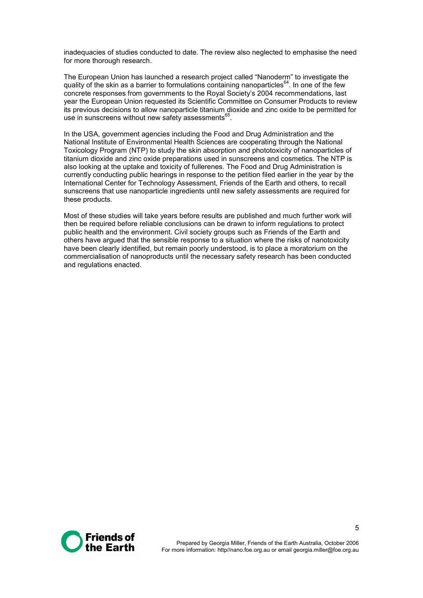inadequacies of studies conducted to date. The review also neglected to emphasise the need for more thorough research.

The European Union has launched a research project called "Nanoderm" to investigate the quality of the skin as a barrier to formulations containing nanoparticles<sup>64</sup>. In one of the few concrete responses from governments to the Royal Society's 2004 recommendations, last year the European Union requested its Scientific Committee on Consumer Products to review its previous decisions to allow nanoparticle titanium dioxide and zinc oxide to be permitted for use in sunscreens without new safety assessments $^{65}$ .

In the USA, government agencies including the Food and Drug Administration and the National Institute of Environmental Health Sciences are cooperating through the National Toxicology Program (NTP) to study the skin absorption and phototoxicity of nanoparticles of titanium dioxide and zinc oxide preparations used in sunscreens and cosmetics. The NTP is also looking at the uptake and toxicity of fullerenes. The Food and Drug Administration is currently conducting public hearings in response to the petition filed earlier in the year by the International Center for Technology Assessment, Friends of the Earth and others, to recall sunscreens that use nanoparticle ingredients until new safety assessments are required for these products.

Most of these studies will take years before results are published and much further work will then be required before reliable conclusions can be drawn to inform regulations to protect public health and the environment. Civil society groups such as Friends of the Earth and others have argued that the sensible response to a situation where the risks of nanotoxicity have been clearly identified, but remain poorly understood, is to place a moratorium on the commercialisation of nanoproducts until the necessary safety research has been conducted and regulations enacted.

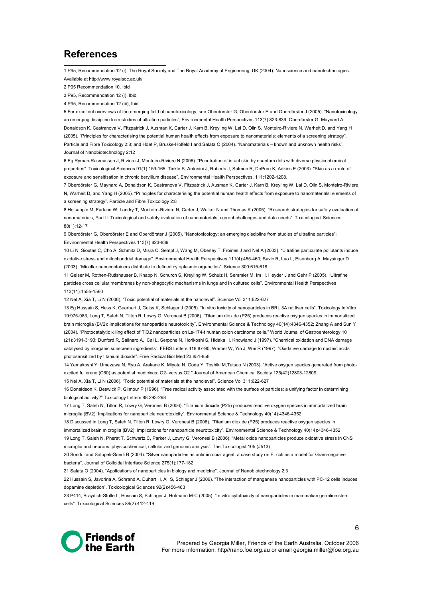## **References**  $\overline{a}$

1 P95, Recommendation 12 (i), The Royal Society and The Royal Academy of Engineering, UK (2004). Nanoscience and nanotechnologies. Available at http://www.royalsoc.ac.uk/

2 P95 Recommendation 10, Ibid

3 P95, Recommendation 12 (i), Ibid

4 P95, Recommendation 12 (iii), Ibid

5 For excellent overviews of the emerging field of nanotoxicology, see Oberdörster G, Oberdörster E and Oberdörster J (2005). "Nanotoxicology: an emerging discipline from studies of ultrafine particles"; Environmental Health Perspectives 113(7):823-839; Oberdörster G, Maynard A, Donaldson K, Castranova V, Fitzpatrick J, Ausman K, Carter J, Karn B, Kreyling W, Lai D, Olin S, Monteiro-Riviere N, Warheit D, and Yang H (2005). "Principles for characterising the potential human health effects from exposure to nanomaterials: elements of a screening strategy". Particle and Fibre Toxicology 2:8; and Hoet P, Bruske-Holfeld I and Salata O (2004). "Nanomaterials – known and unknown health risks". Journal of Nanobiotechnology 2:12

6 Eg Ryman-Rasmussen J, Riviere J, Monteiro-Riviere N (2006). "Penetration of intact skin by quantum dots with diverse physicochemical properties". Toxicological Sciences 91(1):159-165; Tinkle S, Antonini J, Roberts J, Salmen R, DePree K, Adkins E (2003). "Skin as a route of exposure and sensitisation in chronic beryllium disease", Environmental Health Perspectives. 111:1202-1208.

7 Oberdörster G, Maynard A, Donaldson K, Castranova V, Fitzpatrick J, Ausman K, Carter J, Karn B, Kreyling W, Lai D, Olin S, Monteiro-Riviere N, Warheit D, and Yang H (2005). "Principles for characterising the potential human health effects from exposure to nanomaterials: elements of a screening strategy". Particle and Fibre Toxicology 2:8

8 Holsapple M, Farland W, Landry T, Monteiro-Riviere N, Carter J, Walker N and Thomas K (2005). "Research strategies for safety evaluation of nanomaterials, Part II: Toxicological and safety evaluation of nanomaterials, current challenges and data needs". Toxicological Sciences 88(1):12-17

9 Oberdörster G, Oberdörster E and Oberdörster J (2005). "Nanotoxicology: an emerging discipline from studies of ultrafine particles"; Environmental Health Perspectives 113(7):823-839

10 Li N, Sioutas C, Cho A, Schmitz D, Misra C, Sempf J, Wang M, Oberley T, Froines J and Nel A (2003). "Ultrafine particulate pollutants induce oxidative stress and mitochondrial damage". Environmental Health Perspectives 111(4):455-460; Savic R, Luo L, Eisenberg A, Maysinger D (2003). "Micellar nanocontainers distribute to defined cytoplasmic organelles". Science 300:615-618

11 Geiser M, Rothen-Rutlshauser B, Knapp N, Schurch S, Kreyling W, Schulz H, Semmler M, Im H, Heyder J and Gehr P (2005). "Ultrafine particles cross cellular membranes by non-phagocytic mechanisms in lungs and in cultured cells". Environmental Health Perspectives 113(11):1555-1560

12 Nel A, Xia T, Li N (2006). "Toxic potential of materials at the nanolevel". Science Vol 311:622-627

13 Eg Hussain S, Hess K, Gearhart J, Geiss K, Schlager J (2005). "In vitro toxicity of nanoparticles in BRL 3A rat liver cells". Toxicology In Vitro 19:975-983, Long T, Saleh N, Tilton R, Lowry G, Veronesi B (2006). "Titanium dioxide (P25) produces reactive oxygen species in immortalized brain microglia (BV2): Implications for nanoparticle neurotoxicity". Environmental Science & Technology 40(14):4346-4352; Zhang A and Sun Y (2004). "Photocatalytic killing effect of TiO2 nanoparticles on Ls-174-t human colon carcinoma cells." World Journal of Gastroenterology 10 (21):3191-3193; Dunford R, Salinaro A, Cai L, Serpone N, Horikoshi S, Hidaka H, Knowland J (1997). "Chemical oxidation and DNA damage catalysed by inorganic sunscreen ingredients". FEBS Letters 418:87-90; Wamer W, Yin J, Wei R (1997). "Oxidative damage to nucleic acids photosensitized by titanium dioxide". Free Radical Biol Med 23:851-858

14 Yamakoshi Y, Umezawa N, Ryu A, Arakane K, Miyata N, Goda Y, Toshiki M,Tetsuo N (2003). "Active oxygen species generated from photoexcited fullerene (C60) as potential medicines: O2- versus O2." Journal of American Chemical Society 125(42)12803-12809 15 Nel A, Xia T, Li N (2006). "Toxic potential of materials at the nanolevel". Science Vol 311:622-627

16 Donaldson K, Beswick P, Gilmour P (1996). "Free radical activity associated with the surface of particles: a unifying factor in determining biological activity?" Toxicology Letters 88:293-298

17 Long T, Saleh N, Tilton R, Lowry G, Veronesi B (2006). "Titanium dioxide (P25) produces reactive oxygen species in immortalized brain microglia (BV2): Implications for nanoparticle neurotoxicity". Environmental Science & Technology 40(14):4346-4352

18 Discussed in Long T, Saleh N, Tilton R, Lowry G, Veronesi B (2006). "Titanium dioxide (P25) produces reactive oxygen species in immortalized brain microglia (BV2): Implications for nanoparticle neurotoxicity". Environmental Science & Technology 40(14):4346-4352 19 Long T, Saleh N, Pherat T, Schwartz C, Parker J, Lowry G, Veronesi B (2006). "Metal oxide nanoparticles produce oxidative stress in CNS microglia and neurons: physicochemical, cellular and genomic analysis". The Toxicologist:105 (#513)

20 Sondi I and Salopek-Sondi B (2004). "Silver nanoparticles as antimicrobial agent: a case study on E. coli as a model for Gram-negative bacteria". Journal of Colloidal Interface Science 275(1):177-182

21 Salata O (2004). "Applications of nanoparticles in biology and medicine". Journal of Nanobiotechnology 2:3

22 Hussain S, Javorina A, Schrand A, Duhart H, Ali S, Schlager J (2006). "The interaction of manganese nanoparticles with PC-12 cells induces dopamine depletion". Toxicological Sciences 92(2):456-463

23 P414, Braydich-Stolle L, Hussain S, Schlager J, Hofmann M-C (2005). "In vitro cytotoxicity of nanoparticles in mammalian germline stem cells". Toxicological Sciences 88(2):412-419

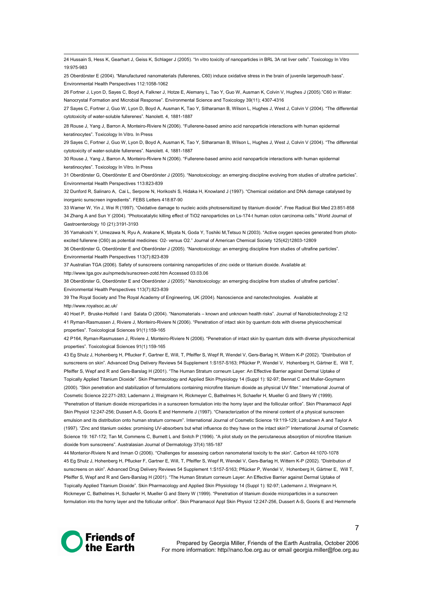24 Hussain S, Hess K, Gearhart J, Geiss K, Schlager J (2005). "In vitro toxicity of nanoparticles in BRL 3A rat liver cells". Toxicology In Vitro 19:975-983

25 Oberdörster E (2004). "Manufactured nanomaterials (fullerenes, C60) induce oxidative stress in the brain of juvenile largemouth bass". Environmental Health Perspectives 112:1058-1062

26 Fortner J, Lyon D, Sayes C, Boyd A, Falkner J, Hotze E, Alemany L, Tao Y, Guo W, Ausman K, Colvin V, Hughes J (2005)."C60 in Water: Nanocrystal Formation and Microbial Response". Environmental Science and Toxicology 39(11); 4307-4316

27 Sayes C, Fortner J, Guo W, Lyon D, Boyd A, Ausman K, Tao Y, Sitharaman B, Wilson L, Hughes J, West J, Colvin V (2004). "The differential cytotoxicity of water-soluble fullerenes". Nanolett. 4, 1881-1887

28 Rouse J, Yang J, Barron A, Monteiro-Riviere N (2006). "Fullerene-based amino acid nanoparticle interactions with human epidermal keratinocytes". Toxicology In Vitro. In Press

29 Sayes C, Fortner J, Guo W, Lyon D, Boyd A, Ausman K, Tao Y, Sitharaman B, Wilson L, Hughes J, West J, Colvin V (2004). "The differential cytotoxicity of water-soluble fullerenes". Nanolett. 4, 1881-1887

30 Rouse J, Yang J, Barron A, Monteiro-Riviere N (2006). "Fullerene-based amino acid nanoparticle interactions with human epidermal keratinocytes". Toxicology In Vitro. In Press

31 Oberdörster G, Oberdörster E and Oberdörster J (2005). "Nanotoxicology: an emerging discipline evolving from studies of ultrafine particles". Environmental Health Perspectives 113:823-839

32 Dunford R, Salinaro A, Cai L, Serpone N, Horikoshi S, Hidaka H, Knowland J (1997). "Chemical oxidation and DNA damage catalysed by inorganic sunscreen ingredients". FEBS Letters 418:87-90

33 Wamer W, Yin J, Wei R (1997). "Oxidative damage to nucleic acids photosensitized by titanium dioxide". Free Radical Biol Med 23:851-858 34 Zhang A and Sun Y (2004). "Photocatalytic killing effect of TiO2 nanoparticles on Ls-174-t human colon carcinoma cells." World Journal of Gastroenterology 10 (21):3191-3193

35 Yamakoshi Y, Umezawa N, Ryu A, Arakane K, Miyata N, Goda Y, Toshiki M,Tetsuo N (2003). "Active oxygen species generated from photoexcited fullerene (C60) as potential medicines: O2- versus O2." Journal of American Chemical Society 125(42)12803-12809

36 Oberdörster G, Oberdörster E and Oberdörster J (2005). "Nanotoxicology: an emerging discipline from studies of ultrafine particles". Environmental Health Perspectives 113(7):823-839

37 Australian TGA (2006). Safety of sunscreens containing nanoparticles of zinc oxide or titanium dioxide. Available at: http://www.tga.gov.au/npmeds/sunscreen-zotd.htm Accessed 03.03.06

38 Oberdörster G, Oberdörster E and Oberdörster J (2005)." Nanotoxicology: an emerging discipline from studies of ultrafine particles". Environmental Health Perspectives 113(7):823-839

39 The Royal Society and The Royal Academy of Engineering, UK (2004). Nanoscience and nanotechnologies. Available at http://www.royalsoc.ac.uk/

40 Hoet P, Bruske-Holfeld I and Salata O (2004). "Nanomaterials – known and unknown health risks". Journal of Nanobiotechnology 2:12 41 Ryman-Rasmussen J, Riviere J, Monteiro-Riviere N (2006). "Penetration of intact skin by quantum dots with diverse physicochemical properties". Toxicological Sciences 91(1):159-165

42 P164, Ryman-Rasmussen J, Riviere J, Monteiro-Riviere N (2006). "Penetration of intact skin by quantum dots with diverse physicochemical properties". Toxicological Sciences 91(1):159-165

43 Eg Shulz J, Hohenberg H, Pflucker F, Gartner E, Will, T, Pfeiffer S, Wepf R, Wendel V, Gers-Barlag H, Wittern K-P (2002). "Distribution of sunscreens on skin". Advanced Drug Delivery Reviews 54 Supplement 1:S157-S163; Pflücker P, Wendel V, Hohenberg H, Gärtner E, Will T, Pfeiffer S, Wepf and R and Gers-Barslag H (2001). "The Human Stratum corneum Layer: An Effective Barrier against Dermal Uptake of Topically Applied Titanium Dioxide". Skin Pharmacology and Applied Skin Physiology 14 (Suppl 1): 92-97; Bennat C and Muller-Goymann (2000). "Skin penetration and stabilization of formulations containing microfine titanium dioxide as physical UV filter." International Journal of Cosmetic Science 22:271-283; Lademann J, Weigmann H, Rickmeyer C, Bathelmes H, Schaefer H, Mueller G and Sterry W (1999). "Penetration of titanium dioxide microparticles in a sunscreen formulation into the horny layer and the follicular orifice". Skin Pharamacol Appl Skin Physiol 12:247-256; Dussert A-S, Gooris E and Hemmerle J (1997). "Characterization of the mineral content of a physical sunscreen emulsion and its distribution onto human stratum corneum". International Journal of Cosmetic Science 19:119-129; Lansdown A and Taylor A (1997). "Zinc and titanium oxides: promising UV-absorbers but what influence do they have on the intact skin?" International Journal of Cosmetic Science 19: 167-172; Tan M, Commens C, Burnett L and Snitch P (1996). "A pilot study on the percutaneous absorption of microfine titanium dioxide from sunscreens". Australasian Journal of Dermatology 37(4):185-187

44 Monterior-Riviere N and Inman O (2006). "Challenges for assessing carbon nanomaterial toxicity to the skin". Carbon 44:1070-1078 45 Eg Shulz J, Hohenberg H, Pflucker F, Gartner E, Will, T, Pfeiffer S, Wepf R, Wendel V, Gers-Barlag H, Wittern K-P (2002). "Distribution of sunscreens on skin". Advanced Drug Delivery Reviews 54 Supplement 1:S157-S163; Pflücker P, Wendel V, Hohenberg H, Gärtner E, Will T, Pfeiffer S, Wepf and R and Gers-Barslag H (2001). "The Human Stratum corneum Layer: An Effective Barrier against Dermal Uptake of Topically Applied Titanium Dioxide". Skin Pharmacology and Applied Skin Physiology 14 (Suppl 1): 92-97; Lademann J, Weigmann H, Rickmeyer C, Bathelmes H, Schaefer H, Mueller G and Sterry W (1999). "Penetration of titanium dioxide microparticles in a sunscreen formulation into the horny layer and the follicular orifice". Skin Pharamacol Appl Skin Physiol 12:247-256, Dussert A-S, Gooris E and Hemmerle



 $\overline{a}$